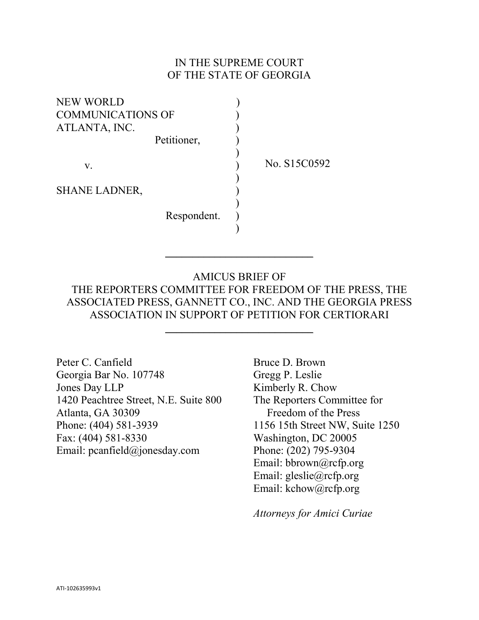### IN THE SUPREME COURT OF THE STATE OF GEORGIA

| <b>NEW WORLD</b>         |              |
|--------------------------|--------------|
| <b>COMMUNICATIONS OF</b> |              |
| ATLANTA, INC.            |              |
| Petitioner,              |              |
|                          |              |
| $V_{\rm r}$              | No. S15C0592 |
|                          |              |
| <b>SHANE LADNER,</b>     |              |
|                          |              |
| Respondent.              |              |
|                          |              |

AMICUS BRIEF OF THE REPORTERS COMMITTEE FOR FREEDOM OF THE PRESS, THE ASSOCIATED PRESS, GANNETT CO., INC. AND THE GEORGIA PRESS ASSOCIATION IN SUPPORT OF PETITION FOR CERTIORARI

\_\_\_\_\_\_\_\_\_\_\_\_\_\_\_\_\_\_\_\_\_\_\_\_\_\_\_

 $\overline{\phantom{a}}$  , where  $\overline{\phantom{a}}$  , where  $\overline{\phantom{a}}$  , where  $\overline{\phantom{a}}$  , where  $\overline{\phantom{a}}$ 

Peter C. Canfield Georgia Bar No. 107748 Jones Day LLP 1420 Peachtree Street, N.E. Suite 800 Atlanta, GA 30309 Phone: (404) 581-3939 Fax: (404) 581-8330 Email: pcanfield@jonesday.com

Bruce D. Brown Gregg P. Leslie Kimberly R. Chow The Reporters Committee for Freedom of the Press 1156 15th Street NW, Suite 1250 Washington, DC 20005 Phone: (202) 795-9304 Email: bbrown@rcfp.org Email: gleslie@rcfp.org Email: kchow@rcfp.org

*Attorneys for Amici Curiae*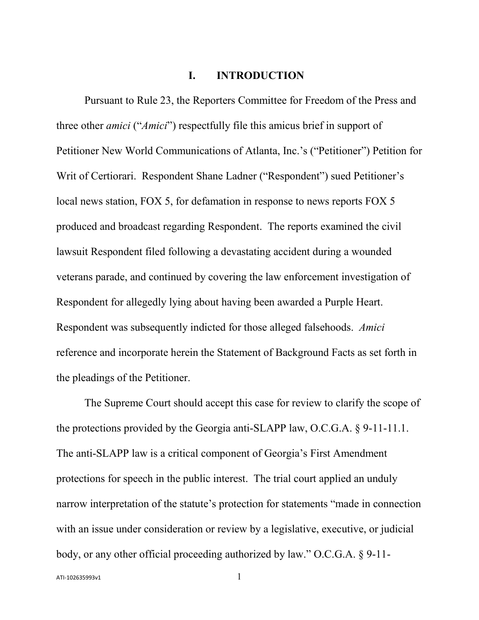#### **I. INTRODUCTION**

Pursuant to Rule 23, the Reporters Committee for Freedom of the Press and three other *amici* ("*Amici*") respectfully file this amicus brief in support of Petitioner New World Communications of Atlanta, Inc.'s ("Petitioner") Petition for Writ of Certiorari. Respondent Shane Ladner ("Respondent") sued Petitioner's local news station, FOX 5, for defamation in response to news reports FOX 5 produced and broadcast regarding Respondent. The reports examined the civil lawsuit Respondent filed following a devastating accident during a wounded veterans parade, and continued by covering the law enforcement investigation of Respondent for allegedly lying about having been awarded a Purple Heart. Respondent was subsequently indicted for those alleged falsehoods. *Amici* reference and incorporate herein the Statement of Background Facts as set forth in the pleadings of the Petitioner.

The Supreme Court should accept this case for review to clarify the scope of the protections provided by the Georgia anti-SLAPP law, O.C.G.A. § 9-11-11.1. The anti-SLAPP law is a critical component of Georgia's First Amendment protections for speech in the public interest. The trial court applied an unduly narrow interpretation of the statute's protection for statements "made in connection with an issue under consideration or review by a legislative, executive, or judicial body, or any other official proceeding authorized by law." O.C.G.A. § 9-11-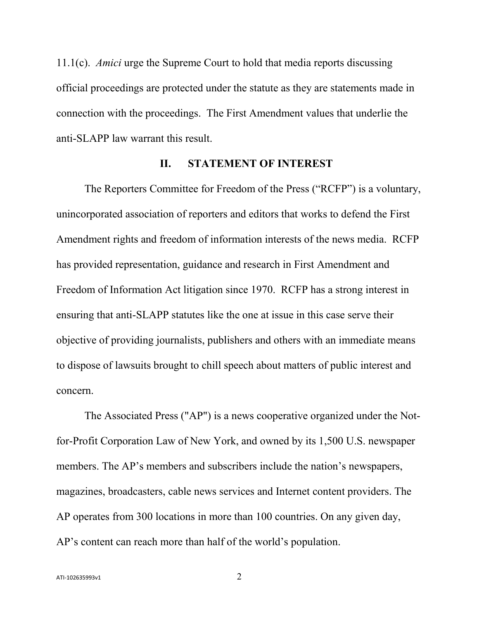11.1(c). *Amici* urge the Supreme Court to hold that media reports discussing official proceedings are protected under the statute as they are statements made in connection with the proceedings. The First Amendment values that underlie the anti-SLAPP law warrant this result.

#### **II. STATEMENT OF INTEREST**

The Reporters Committee for Freedom of the Press ("RCFP") is a voluntary, unincorporated association of reporters and editors that works to defend the First Amendment rights and freedom of information interests of the news media. RCFP has provided representation, guidance and research in First Amendment and Freedom of Information Act litigation since 1970. RCFP has a strong interest in ensuring that anti-SLAPP statutes like the one at issue in this case serve their objective of providing journalists, publishers and others with an immediate means to dispose of lawsuits brought to chill speech about matters of public interest and concern.

The Associated Press ("AP") is a news cooperative organized under the Notfor-Profit Corporation Law of New York, and owned by its 1,500 U.S. newspaper members. The AP's members and subscribers include the nation's newspapers, magazines, broadcasters, cable news services and Internet content providers. The AP operates from 300 locations in more than 100 countries. On any given day, AP's content can reach more than half of the world's population.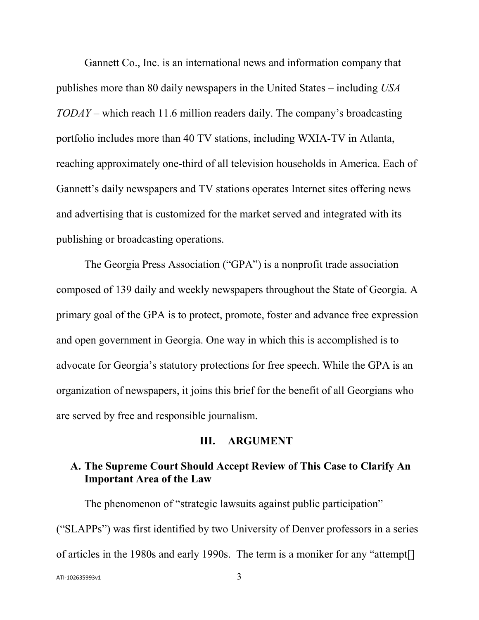Gannett Co., Inc. is an international news and information company that publishes more than 80 daily newspapers in the United States – including *USA TODAY* – which reach 11.6 million readers daily. The company's broadcasting portfolio includes more than 40 TV stations, including WXIA-TV in Atlanta, reaching approximately one-third of all television households in America. Each of Gannett's daily newspapers and TV stations operates Internet sites offering news and advertising that is customized for the market served and integrated with its publishing or broadcasting operations.

The Georgia Press Association ("GPA") is a nonprofit trade association composed of 139 daily and weekly newspapers throughout the State of Georgia. A primary goal of the GPA is to protect, promote, foster and advance free expression and open government in Georgia. One way in which this is accomplished is to advocate for Georgia's statutory protections for free speech. While the GPA is an organization of newspapers, it joins this brief for the benefit of all Georgians who are served by free and responsible journalism.

#### **III. ARGUMENT**

## **A. The Supreme Court Should Accept Review of This Case to Clarify An Important Area of the Law**

The phenomenon of "strategic lawsuits against public participation" ("SLAPPs") was first identified by two University of Denver professors in a series of articles in the 1980s and early 1990s. The term is a moniker for any "attempt[]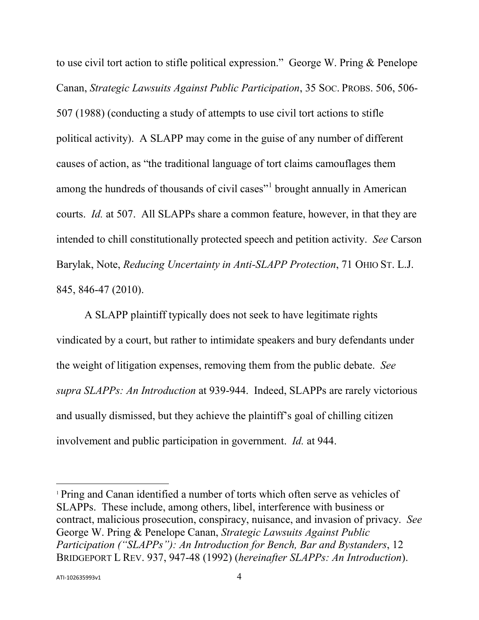to use civil tort action to stifle political expression." George W. Pring & Penelope Canan, *Strategic Lawsuits Against Public Participation*, 35 SOC. PROBS. 506, 506- 507 (1988) (conducting a study of attempts to use civil tort actions to stifle political activity). A SLAPP may come in the guise of any number of different causes of action, as "the traditional language of tort claims camouflages them among the hundreds of thousands of civil cases<sup>"[1](#page-4-0)</sup> brought annually in American courts. *Id.* at 507. All SLAPPs share a common feature, however, in that they are intended to chill constitutionally protected speech and petition activity. *See* Carson Barylak, Note, *Reducing Uncertainty in Anti-SLAPP Protection*, 71 OHIO ST. L.J. 845, 846-47 (2010).

A SLAPP plaintiff typically does not seek to have legitimate rights vindicated by a court, but rather to intimidate speakers and bury defendants under the weight of litigation expenses, removing them from the public debate. *See supra SLAPPs: An Introduction* at 939-944. Indeed, SLAPPs are rarely victorious and usually dismissed, but they achieve the plaintiff's goal of chilling citizen involvement and public participation in government. *Id.* at 944.

l

<span id="page-4-0"></span><sup>1</sup> Pring and Canan identified a number of torts which often serve as vehicles of SLAPPs. These include, among others, libel, interference with business or contract, malicious prosecution, conspiracy, nuisance, and invasion of privacy. *See* George W. Pring & Penelope Canan, *Strategic Lawsuits Against Public Participation ("SLAPPs"): An Introduction for Bench, Bar and Bystanders*, 12 BRIDGEPORT L REV. 937, 947-48 (1992) (*hereinafter SLAPPs: An Introduction*).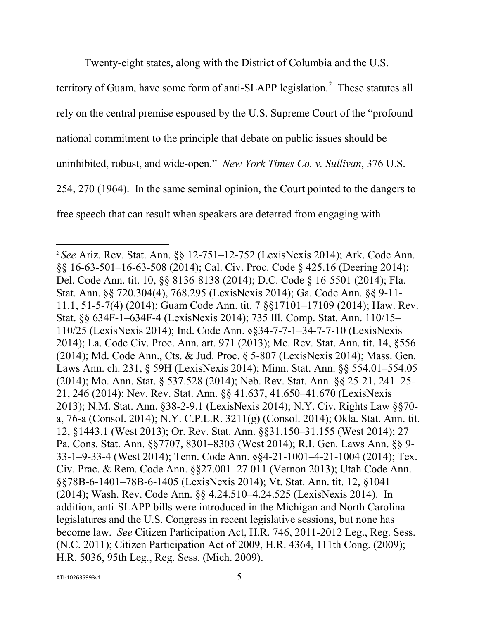Twenty-eight states, along with the District of Columbia and the U.S.

territory of Guam, have some form of anti-SLAPP legislation.<sup>[2](#page-5-0)</sup> These statutes all rely on the central premise espoused by the U.S. Supreme Court of the "profound national commitment to the principle that debate on public issues should be uninhibited, robust, and wide-open." *New York Times Co. v. Sullivan*, 376 U.S. 254, 270 (1964). In the same seminal opinion, the Court pointed to the dangers to free speech that can result when speakers are deterred from engaging with

 $\overline{\phantom{a}}$ 

<span id="page-5-0"></span><sup>2</sup> *See* Ariz. Rev. Stat. Ann. §§ 12-751–12-752 (LexisNexis 2014); Ark. Code Ann. §§ 16-63-501–16-63-508 (2014); Cal. Civ. Proc. Code § 425.16 (Deering 2014); Del. Code Ann. tit. 10, §§ 8136-8138 (2014); D.C. Code § 16-5501 (2014); Fla. Stat. Ann. §§ 720.304(4), 768.295 (LexisNexis 2014); Ga. Code Ann. §§ 9-11- 11.1, 51-5-7(4) (2014); Guam Code Ann. tit. 7 §§17101–17109 (2014); Haw. Rev. Stat. §§ 634F-1–634F-4 (LexisNexis 2014); 735 Ill. Comp. Stat. Ann. 110/15– 110/25 (LexisNexis 2014); Ind. Code Ann. §§34-7-7-1–34-7-7-10 (LexisNexis 2014); La. Code Civ. Proc. Ann. art. 971 (2013); Me. Rev. Stat. Ann. tit. 14, §556 (2014); Md. Code Ann., Cts. & Jud. Proc. § 5-807 (LexisNexis 2014); Mass. Gen. Laws Ann. ch. 231, § 59H (LexisNexis 2014); Minn. Stat. Ann. §§ 554.01–554.05 (2014); Mo. Ann. Stat. § 537.528 (2014); Neb. Rev. Stat. Ann. §§ 25-21, 241–25- 21, 246 (2014); Nev. Rev. Stat. Ann. §§ 41.637, 41.650–41.670 (LexisNexis 2013); N.M. Stat. Ann. §38-2-9.1 (LexisNexis 2014); N.Y. Civ. Rights Law §§70 a, 76-a (Consol. 2014); N.Y. C.P.L.R. 3211(g) (Consol. 2014); Okla. Stat. Ann. tit. 12, §1443.1 (West 2013); Or. Rev. Stat. Ann. §§31.150–31.155 (West 2014); 27 Pa. Cons. Stat. Ann. §§7707, 8301–8303 (West 2014); R.I. Gen. Laws Ann. §§ 9- 33-1–9-33-4 (West 2014); Tenn. Code Ann. §§4-21-1001–4-21-1004 (2014); Tex. Civ. Prac. & Rem. Code Ann. §§27.001–27.011 (Vernon 2013); Utah Code Ann. §§78B-6-1401–78B-6-1405 (LexisNexis 2014); Vt. Stat. Ann. tit. 12, §1041 (2014); Wash. Rev. Code Ann. §§ 4.24.510–4.24.525 (LexisNexis 2014). In addition, anti-SLAPP bills were introduced in the Michigan and North Carolina legislatures and the U.S. Congress in recent legislative sessions, but none has become law. *See* Citizen Participation Act, H.R. 746, 2011-2012 Leg., Reg. Sess. (N.C. 2011); Citizen Participation Act of 2009, H.R. 4364, 111th Cong. (2009); H.R. 5036, 95th Leg., Reg. Sess. (Mich. 2009).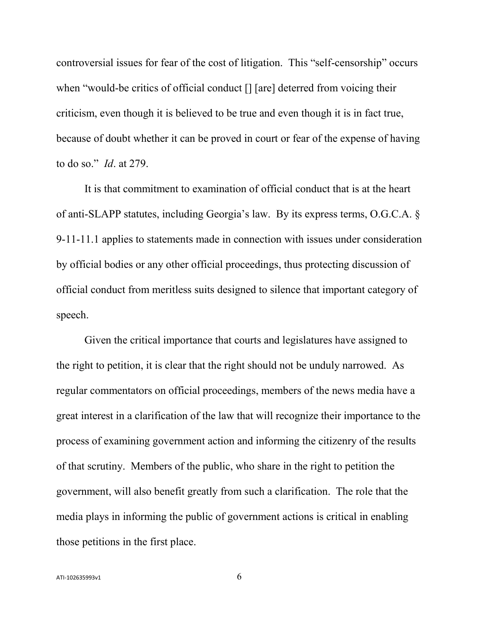controversial issues for fear of the cost of litigation. This "self-censorship" occurs when "would-be critics of official conduct [] [are] deterred from voicing their criticism, even though it is believed to be true and even though it is in fact true, because of doubt whether it can be proved in court or fear of the expense of having to do so." *Id*. at 279.

It is that commitment to examination of official conduct that is at the heart of anti-SLAPP statutes, including Georgia's law. By its express terms, O.G.C.A. § 9-11-11.1 applies to statements made in connection with issues under consideration by official bodies or any other official proceedings, thus protecting discussion of official conduct from meritless suits designed to silence that important category of speech.

Given the critical importance that courts and legislatures have assigned to the right to petition, it is clear that the right should not be unduly narrowed. As regular commentators on official proceedings, members of the news media have a great interest in a clarification of the law that will recognize their importance to the process of examining government action and informing the citizenry of the results of that scrutiny. Members of the public, who share in the right to petition the government, will also benefit greatly from such a clarification. The role that the media plays in informing the public of government actions is critical in enabling those petitions in the first place.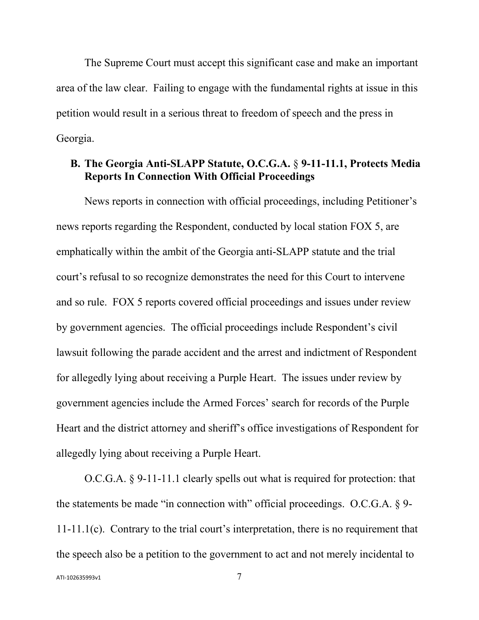The Supreme Court must accept this significant case and make an important area of the law clear. Failing to engage with the fundamental rights at issue in this petition would result in a serious threat to freedom of speech and the press in Georgia.

### **B. The Georgia Anti-SLAPP Statute, O.C.G.A.** § **9-11-11.1, Protects Media Reports In Connection With Official Proceedings**

News reports in connection with official proceedings, including Petitioner's news reports regarding the Respondent, conducted by local station FOX 5, are emphatically within the ambit of the Georgia anti-SLAPP statute and the trial court's refusal to so recognize demonstrates the need for this Court to intervene and so rule. FOX 5 reports covered official proceedings and issues under review by government agencies. The official proceedings include Respondent's civil lawsuit following the parade accident and the arrest and indictment of Respondent for allegedly lying about receiving a Purple Heart. The issues under review by government agencies include the Armed Forces' search for records of the Purple Heart and the district attorney and sheriff's office investigations of Respondent for allegedly lying about receiving a Purple Heart.

O.C.G.A. § 9-11-11.1 clearly spells out what is required for protection: that the statements be made "in connection with" official proceedings. O.C.G.A. § 9- 11-11.1(c). Contrary to the trial court's interpretation, there is no requirement that the speech also be a petition to the government to act and not merely incidental to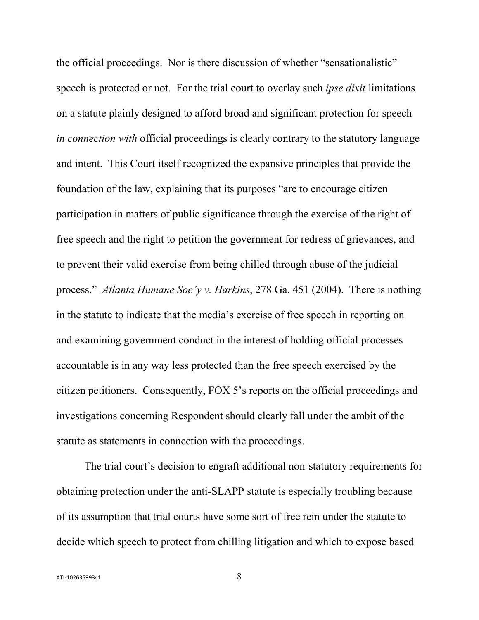the official proceedings. Nor is there discussion of whether "sensationalistic" speech is protected or not. For the trial court to overlay such *ipse dixit* limitations on a statute plainly designed to afford broad and significant protection for speech *in connection with* official proceedings is clearly contrary to the statutory language and intent. This Court itself recognized the expansive principles that provide the foundation of the law, explaining that its purposes "are to encourage citizen participation in matters of public significance through the exercise of the right of free speech and the right to petition the government for redress of grievances, and to prevent their valid exercise from being chilled through abuse of the judicial process." *Atlanta Humane Soc'y v. Harkins*, 278 Ga. 451 (2004). There is nothing in the statute to indicate that the media's exercise of free speech in reporting on and examining government conduct in the interest of holding official processes accountable is in any way less protected than the free speech exercised by the citizen petitioners. Consequently, FOX 5's reports on the official proceedings and investigations concerning Respondent should clearly fall under the ambit of the statute as statements in connection with the proceedings.

The trial court's decision to engraft additional non-statutory requirements for obtaining protection under the anti-SLAPP statute is especially troubling because of its assumption that trial courts have some sort of free rein under the statute to decide which speech to protect from chilling litigation and which to expose based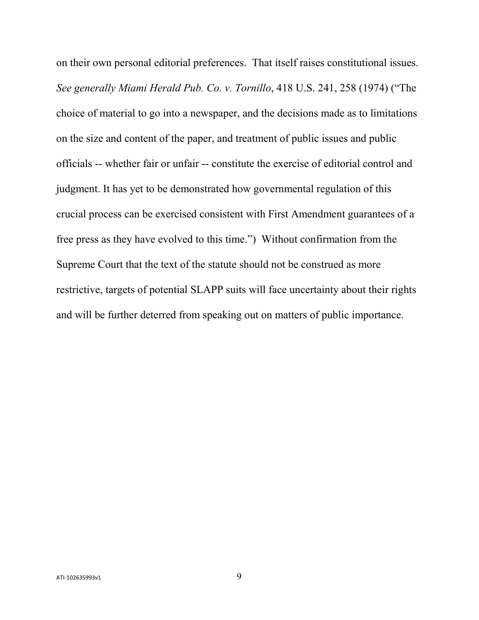on their own personal editorial preferences. That itself raises constitutional issues. *See generally Miami Herald Pub. Co. v. Tornillo*, 418 U.S. 241, 258 (1974) ("The choice of material to go into a newspaper, and the decisions made as to limitations on the size and content of the paper, and treatment of public issues and public officials -- whether fair or unfair -- constitute the exercise of editorial control and judgment. It has yet to be demonstrated how governmental regulation of this crucial process can be exercised consistent with First Amendment guarantees of a free press as they have evolved to this time.") Without confirmation from the Supreme Court that the text of the statute should not be construed as more restrictive, targets of potential SLAPP suits will face uncertainty about their rights and will be further deterred from speaking out on matters of public importance.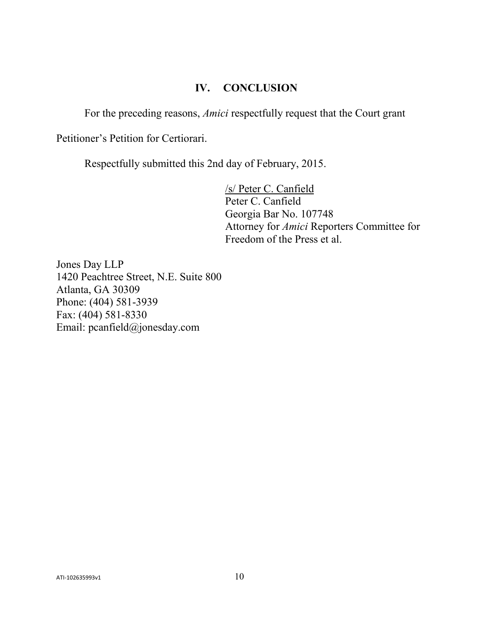# **IV. CONCLUSION**

For the preceding reasons, *Amici* respectfully request that the Court grant

Petitioner's Petition for Certiorari.

Respectfully submitted this 2nd day of February, 2015.

/s/ Peter C. Canfield Peter C. Canfield Georgia Bar No. 107748 Attorney for *Amici* Reporters Committee for Freedom of the Press et al.

Jones Day LLP 1420 Peachtree Street, N.E. Suite 800 Atlanta, GA 30309 Phone: (404) 581-3939 Fax: (404) 581-8330 Email: pcanfield@jonesday.com